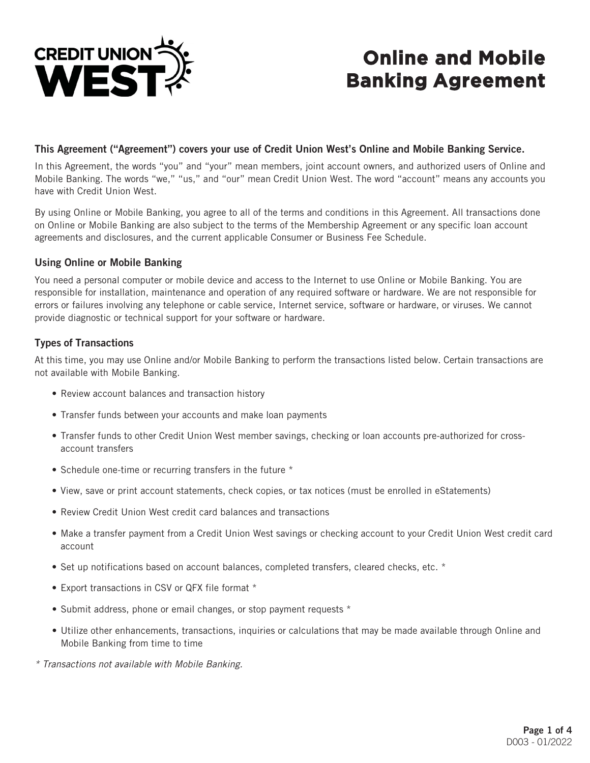

# **Online and Mobile Banking Agreement**

#### This Agreement ("Agreement") covers your use of Credit Union West's Online and Mobile Banking Service.

In this Agreement, the words "you" and "your" mean members, joint account owners, and authorized users of Online and Mobile Banking. The words "we," "us," and "our" mean Credit Union West. The word "account" means any accounts you have with Credit Union West.

By using Online or Mobile Banking, you agree to all of the terms and conditions in this Agreement. All transactions done on Online or Mobile Banking are also subject to the terms of the Membership Agreement or any specific loan account agreements and disclosures, and the current applicable Consumer or Business Fee Schedule.

#### Using Online or Mobile Banking

You need a personal computer or mobile device and access to the Internet to use Online or Mobile Banking. You are responsible for installation, maintenance and operation of any required software or hardware. We are not responsible for errors or failures involving any telephone or cable service, Internet service, software or hardware, or viruses. We cannot provide diagnostic or technical support for your software or hardware.

#### Types of Transactions

At this time, you may use Online and/or Mobile Banking to perform the transactions listed below. Certain transactions are not available with Mobile Banking.

- Review account balances and transaction history
- Transfer funds between your accounts and make loan payments
- Transfer funds to other Credit Union West member savings, checking or loan accounts pre-authorized for crossaccount transfers
- Schedule one-time or recurring transfers in the future \*
- View, save or print account statements, check copies, or tax notices (must be enrolled in eStatements)
- Review Credit Union West credit card balances and transactions
- Make a transfer payment from a Credit Union West savings or checking account to your Credit Union West credit card account
- Set up notifications based on account balances, completed transfers, cleared checks, etc. \*
- Export transactions in CSV or QFX file format \*
- Submit address, phone or email changes, or stop payment requests \*
- Utilize other enhancements, transactions, inquiries or calculations that may be made available through Online and Mobile Banking from time to time

*\* Transactions not available with Mobile Banking.*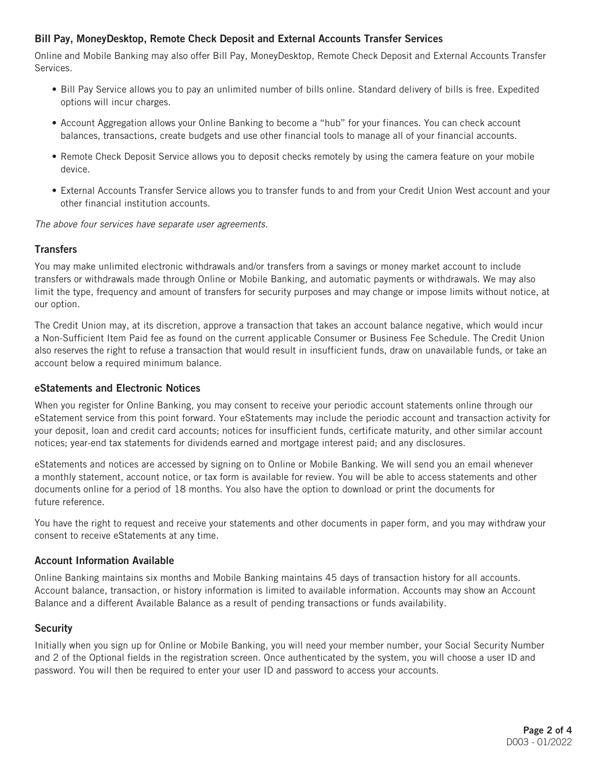# Bill Pay, MoneyDesktop, Remote Check Deposit and External Accounts Transfer Services

Online and Mobile Banking may also offer Bill Pay, MoneyDesktop, Remote Check Deposit and External Accounts Transfer Services.

- Bill Pay Service allows you to pay an unlimited number of bills online. Standard delivery of bills is free. Expedited options will incur charges.
- Account Aggregation allows your Online Banking to become a "hub" for your finances. You can check account balances, transactions, create budgets and use other financial tools to manage all of your financial accounts.
- Remote Check Deposit Service allows you to deposit checks remotely by using the camera feature on your mobile device.
- External Accounts Transfer Service allows you to transfer funds to and from your Credit Union West account and your other financial institution accounts.

*The above four services have separate user agreements.*

#### **Transfers**

You may make unlimited electronic withdrawals and/or transfers from a savings or money market account to include transfers or withdrawals made through Online or Mobile Banking, and automatic payments or withdrawals. We may also limit the type, frequency and amount of transfers for security purposes and may change or impose limits without notice, at our option.

The Credit Union may, at its discretion, approve a transaction that takes an account balance negative, which would incur a Non-Sufficient Item Paid fee as found on the current applicable Consumer or Business Fee Schedule. The Credit Union also reserves the right to refuse a transaction that would result in insufficient funds, draw on unavailable funds, or take an account below a required minimum balance.

#### eStatements and Electronic Notices

When you register for Online Banking, you may consent to receive your periodic account statements online through our eStatement service from this point forward. Your eStatements may include the periodic account and transaction activity for your deposit, loan and credit card accounts; notices for insufficient funds, certificate maturity, and other similar account notices; year-end tax statements for dividends earned and mortgage interest paid; and any disclosures.

eStatements and notices are accessed by signing on to Online or Mobile Banking. We will send you an email whenever a monthly statement, account notice, or tax form is available for review. You will be able to access statements and other documents online for a period of 18 months. You also have the option to download or print the documents for future reference.

You have the right to request and receive your statements and other documents in paper form, and you may withdraw your consent to receive eStatements at any time.

#### Account Information Available

Online Banking maintains six months and Mobile Banking maintains 45 days of transaction history for all accounts. Account balance, transaction, or history information is limited to available information. Accounts may show an Account Balance and a different Available Balance as a result of pending transactions or funds availability.

# **Security**

Initially when you sign up for Online or Mobile Banking, you will need your member number, your Social Security Number and 2 of the Optional fields in the registration screen. Once authenticated by the system, you will choose a user ID and password. You will then be required to enter your user ID and password to access your accounts.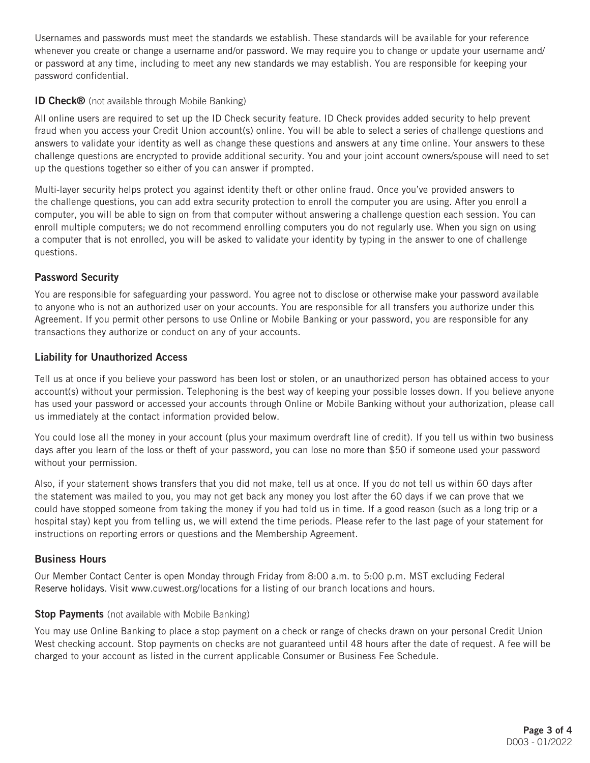Usernames and passwords must meet the standards we establish. These standards will be available for your reference whenever you create or change a username and/or password. We may require you to change or update your username and/ or password at any time, including to meet any new standards we may establish. You are responsible for keeping your password confidential.

### ID Check® (not available through Mobile Banking)

All online users are required to set up the ID Check security feature. ID Check provides added security to help prevent fraud when you access your Credit Union account(s) online. You will be able to select a series of challenge questions and answers to validate your identity as well as change these questions and answers at any time online. Your answers to these challenge questions are encrypted to provide additional security. You and your joint account owners/spouse will need to set up the questions together so either of you can answer if prompted.

Multi-layer security helps protect you against identity theft or other online fraud. Once you've provided answers to the challenge questions, you can add extra security protection to enroll the computer you are using. After you enroll a computer, you will be able to sign on from that computer without answering a challenge question each session. You can enroll multiple computers; we do not recommend enrolling computers you do not regularly use. When you sign on using a computer that is not enrolled, you will be asked to validate your identity by typing in the answer to one of challenge questions.

# Password Security

You are responsible for safeguarding your password. You agree not to disclose or otherwise make your password available to anyone who is not an authorized user on your accounts. You are responsible for all transfers you authorize under this Agreement. If you permit other persons to use Online or Mobile Banking or your password, you are responsible for any transactions they authorize or conduct on any of your accounts.

#### Liability for Unauthorized Access

Tell us at once if you believe your password has been lost or stolen, or an unauthorized person has obtained access to your account(s) without your permission. Telephoning is the best way of keeping your possible losses down. If you believe anyone has used your password or accessed your accounts through Online or Mobile Banking without your authorization, please call us immediately at the contact information provided below.

You could lose all the money in your account (plus your maximum overdraft line of credit). If you tell us within two business days after you learn of the loss or theft of your password, you can lose no more than \$50 if someone used your password without your permission.

Also, if your statement shows transfers that you did not make, tell us at once. If you do not tell us within 60 days after the statement was mailed to you, you may not get back any money you lost after the 60 days if we can prove that we could have stopped someone from taking the money if you had told us in time. If a good reason (such as a long trip or a hospital stay) kept you from telling us, we will extend the time periods. Please refer to the last page of your statement for instructions on reporting errors or questions and the Membership Agreement.

#### Business Hours

Our Member Contact Center is open Monday through Friday from 8:00 a.m. to 5:00 p.m. MST excluding Federal Reserve holidays. Visit [www.cuwest.org/](http://www.cuwest.org/)locations for a listing of our branch locations and hours.

#### **Stop Payments** (not available with Mobile Banking)

You may use Online Banking to place a stop payment on a check or range of checks drawn on your personal Credit Union West checking account. Stop payments on checks are not guaranteed until 48 hours after the date of request. A fee will be charged to your account as listed in the current applicable Consumer or Business Fee Schedule.